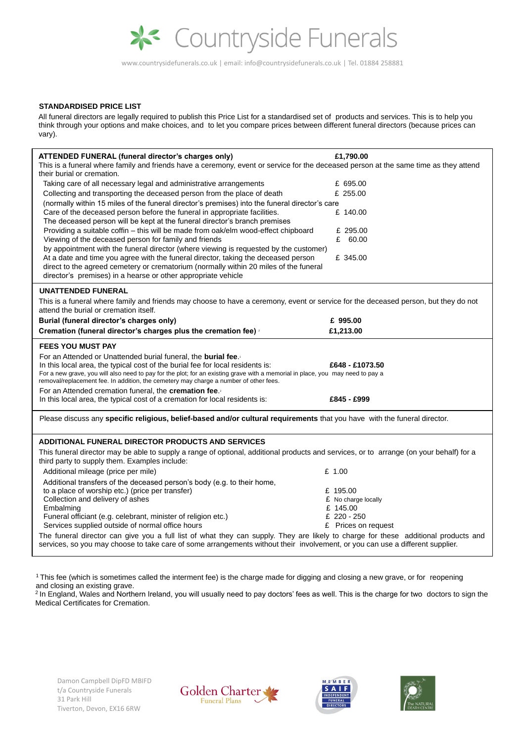

www.countrysidefunerals.co.uk | email: info@countrysidefunerals.co.uk | Tel. 01884 258881

# **STANDARDISED PRICE LIST**

All funeral directors are legally required to publish this Price List for a standardised set of products and services. This is to help you think through your options and make choices, and to let you compare prices between different funeral directors (because prices can vary).

 $1$ This fee (which is sometimes called the interment fee) is the charge made for digging and closing a new grave, or for reopening and closing an existing grave.

<sup>2</sup> In England, Wales and Northern Ireland, you will usually need to pay doctors' fees as well. This is the charge for two doctors to sign the Medical Certificates for Cremation.

| <b>ATTENDED FUNERAL (funeral director's charges only)</b><br>This is a funeral where family and friends have a ceremony, event or service for the deceased person at the same time as they attend<br>their burial or cremation.<br>Taking care of all necessary legal and administrative arrangements<br>Collecting and transporting the deceased person from the place of death<br>(normally within 15 miles of the funeral director's premises) into the funeral director's care<br>Care of the deceased person before the funeral in appropriate facilities.<br>The deceased person will be kept at the funeral director's branch premises<br>Providing a suitable coffin – this will be made from oak/elm wood-effect chipboard<br>Viewing of the deceased person for family and friends<br>by appointment with the funeral director (where viewing is requested by the customer)<br>At a date and time you agree with the funeral director, taking the deceased person | £1,790.00<br>£ 695.00<br>£ 255.00<br>£ 140.00<br>£ 295.00<br>60.00<br>£<br>£ 345.00 |  |
|-----------------------------------------------------------------------------------------------------------------------------------------------------------------------------------------------------------------------------------------------------------------------------------------------------------------------------------------------------------------------------------------------------------------------------------------------------------------------------------------------------------------------------------------------------------------------------------------------------------------------------------------------------------------------------------------------------------------------------------------------------------------------------------------------------------------------------------------------------------------------------------------------------------------------------------------------------------------------------|-------------------------------------------------------------------------------------|--|
| direct to the agreed cemetery or crematorium (normally within 20 miles of the funeral<br>director's premises) in a hearse or other appropriate vehicle                                                                                                                                                                                                                                                                                                                                                                                                                                                                                                                                                                                                                                                                                                                                                                                                                      |                                                                                     |  |
| <b>UNATTENDED FUNERAL</b>                                                                                                                                                                                                                                                                                                                                                                                                                                                                                                                                                                                                                                                                                                                                                                                                                                                                                                                                                   |                                                                                     |  |
| This is a funeral where family and friends may choose to have a ceremony, event or service for the deceased person, but they do not<br>attend the burial or cremation itself.                                                                                                                                                                                                                                                                                                                                                                                                                                                                                                                                                                                                                                                                                                                                                                                               |                                                                                     |  |
| Burial (funeral director's charges only)                                                                                                                                                                                                                                                                                                                                                                                                                                                                                                                                                                                                                                                                                                                                                                                                                                                                                                                                    | £ 995.00                                                                            |  |
| Cremation (funeral director's charges plus the cremation fee) a                                                                                                                                                                                                                                                                                                                                                                                                                                                                                                                                                                                                                                                                                                                                                                                                                                                                                                             | £1,213.00                                                                           |  |
| <b>FEES YOU MUST PAY</b>                                                                                                                                                                                                                                                                                                                                                                                                                                                                                                                                                                                                                                                                                                                                                                                                                                                                                                                                                    |                                                                                     |  |
| For an Attended or Unattended burial funeral, the <b>burial fee</b> .<br>In this local area, the typical cost of the burial fee for local residents is:<br>For a new grave, you will also need to pay for the plot; for an existing grave with a memorial in place, you may need to pay a<br>removal/replacement fee. In addition, the cemetery may charge a number of other fees.                                                                                                                                                                                                                                                                                                                                                                                                                                                                                                                                                                                          | £648 - £1073.50                                                                     |  |
| For an Attended cremation funeral, the <b>cremation fee.</b><br>In this local area, the typical cost of a cremation for local residents is:                                                                                                                                                                                                                                                                                                                                                                                                                                                                                                                                                                                                                                                                                                                                                                                                                                 | £845 - £999                                                                         |  |
| Please discuss any specific religious, belief-based and/or cultural requirements that you have with the funeral director.                                                                                                                                                                                                                                                                                                                                                                                                                                                                                                                                                                                                                                                                                                                                                                                                                                                   |                                                                                     |  |
| <b>ADDITIONAL FUNERAL DIRECTOR PRODUCTS AND SERVICES</b>                                                                                                                                                                                                                                                                                                                                                                                                                                                                                                                                                                                                                                                                                                                                                                                                                                                                                                                    |                                                                                     |  |
| This funeral director may be able to supply a range of optional, additional products and services, or to arrange (on your behalf) for a<br>third party to supply them. Examples include:                                                                                                                                                                                                                                                                                                                                                                                                                                                                                                                                                                                                                                                                                                                                                                                    |                                                                                     |  |
| Additional mileage (price per mile)                                                                                                                                                                                                                                                                                                                                                                                                                                                                                                                                                                                                                                                                                                                                                                                                                                                                                                                                         | £ 1.00                                                                              |  |
| Additional transfers of the deceased person's body (e.g. to their home,                                                                                                                                                                                                                                                                                                                                                                                                                                                                                                                                                                                                                                                                                                                                                                                                                                                                                                     |                                                                                     |  |
| to a place of worship etc.) (price per transfer)                                                                                                                                                                                                                                                                                                                                                                                                                                                                                                                                                                                                                                                                                                                                                                                                                                                                                                                            | £ 195.00                                                                            |  |
| Collection and delivery of ashes                                                                                                                                                                                                                                                                                                                                                                                                                                                                                                                                                                                                                                                                                                                                                                                                                                                                                                                                            | £ No charge locally                                                                 |  |
| Embalming                                                                                                                                                                                                                                                                                                                                                                                                                                                                                                                                                                                                                                                                                                                                                                                                                                                                                                                                                                   | £ 145.00                                                                            |  |
| Funeral officiant (e.g. celebrant, minister of religion etc.)                                                                                                                                                                                                                                                                                                                                                                                                                                                                                                                                                                                                                                                                                                                                                                                                                                                                                                               | £ 220 - 250                                                                         |  |
| Services supplied outside of normal office hours                                                                                                                                                                                                                                                                                                                                                                                                                                                                                                                                                                                                                                                                                                                                                                                                                                                                                                                            | £ Prices on request                                                                 |  |
| The funeral director can give you a full list of what they can supply. They are likely to charge for these additional products and<br>services, so you may choose to take care of some arrangements without their involvement, or you can use a different supplier.                                                                                                                                                                                                                                                                                                                                                                                                                                                                                                                                                                                                                                                                                                         |                                                                                     |  |

Damon Campbell DipFD MBIFD t/a Countryside Funerals 31 Park Hill Tiverton, Devon, EX16 6RW